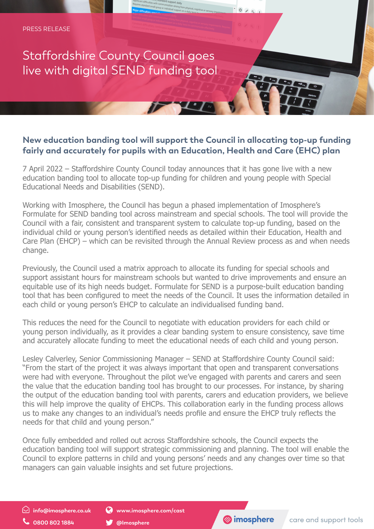## Staffordshire County Council goes live with digital SEND funding tool

## **New education banding tool will support the Council in allocating top-up funding fairly and accurately for pupils with an Education, Health and Care (EHC) plan**

 $\circ$ 

7 April 2022 – Staffordshire County Council today announces that it has gone live with a new education banding tool to allocate top-up funding for children and young people with Special Educational Needs and Disabilities (SEND).

Working with Imosphere, the Council has begun a phased implementation of Imosphere's Formulate for SEND banding tool across mainstream and special schools. The tool will provide the Council with a fair, consistent and transparent system to calculate top-up funding, based on the individual child or young person's identified needs as detailed within their Education, Health and Care Plan (EHCP) – which can be revisited through the Annual Review process as and when needs change.

Previously, the Council used a matrix approach to allocate its funding for special schools and support assistant hours for mainstream schools but wanted to drive improvements and ensure an equitable use of its high needs budget. Formulate for SEND is a purpose-built education banding tool that has been configured to meet the needs of the Council. It uses the information detailed in each child or young person's EHCP to calculate an individualised funding band.

This reduces the need for the Council to negotiate with education providers for each child or young person individually, as it provides a clear banding system to ensure consistency, save time and accurately allocate funding to meet the educational needs of each child and young person.

Lesley Calverley, Senior Commissioning Manager – SEND at Staffordshire County Council said: "From the start of the project it was always important that open and transparent conversations were had with everyone. Throughout the pilot we've engaged with parents and carers and seen the value that the education banding tool has brought to our processes. For instance, by sharing the output of the education banding tool with parents, carers and education providers, we believe this will help improve the quality of EHCPs. This collaboration early in the funding process allows us to make any changes to an individual's needs profile and ensure the EHCP truly reflects the needs for that child and young person."

Once fully embedded and rolled out across Staffordshire schools, the Council expects the education banding tool will support strategic commissioning and planning. The tool will enable the Council to explore patterns in child and young persons' needs and any changes over time so that managers can gain valuable insights and set future projections.

 $\odot$  info@imosphere.co.uk

0800 802 1884

Www.imosphere.com/cast

@Imosphere

**S**imosphere